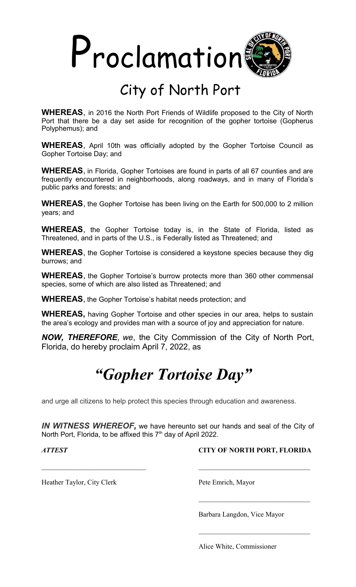

## City of North Port

**WHEREAS**, in 2016 the North Port Friends of Wildlife proposed to the City of North Port that there be a day set aside for recognition of the gopher tortoise (Gopherus Polyphemus); and

**WHEREAS**, April 10th was officially adopted by the Gopher Tortoise Council as Gopher Tortoise Day; and

**WHEREAS**, in Florida, Gopher Tortoises are found in parts of all 67 counties and are frequently encountered in neighborhoods, along roadways, and in many of Florida's public parks and forests; and

**WHEREAS**, the Gopher Tortoise has been living on the Earth for 500,000 to 2 million years; and

**WHEREAS**, the Gopher Tortoise today is, in the State of Florida, listed as Threatened, and in parts of the U.S., is Federally listed as Threatened; and

**WHEREAS**, the Gopher Tortoise is considered a keystone species because they dig burrows; and

**WHEREAS**, the Gopher Tortoise's burrow protects more than 360 other commensal species, some of which are also listed as Threatened; and

**WHEREAS**, the Gopher Tortoise's habitat needs protection; and

**WHEREAS,** having Gopher Tortoise and other species in our area, helps to sustain the area's ecology and provides man with a source of joy and appreciation for nature.

*NOW, THEREFORE, we*, the City Commission of the City of North Port, Florida, do hereby proclaim April 7, 2022, as

## *"Gopher Tortoise Day"*

and urge all citizens to help protect this species through education and awareness.

*IN WITNESS WHEREOF,* we have hereunto set our hands and seal of the City of North Port, Florida, to be affixed this 7<sup>th</sup> day of April 2022.

*ATTEST* **CITY OF NORTH PORT, FLORIDA**

 $\mathcal{L}_\text{max}$  , and the set of the set of the set of the set of the set of the set of the set of the set of the set of the set of the set of the set of the set of the set of the set of the set of the set of the set of the

Heather Taylor, City Clerk Pete Emrich, Mayor

Barbara Langdon, Vice Mayor

Alice White, Commissioner